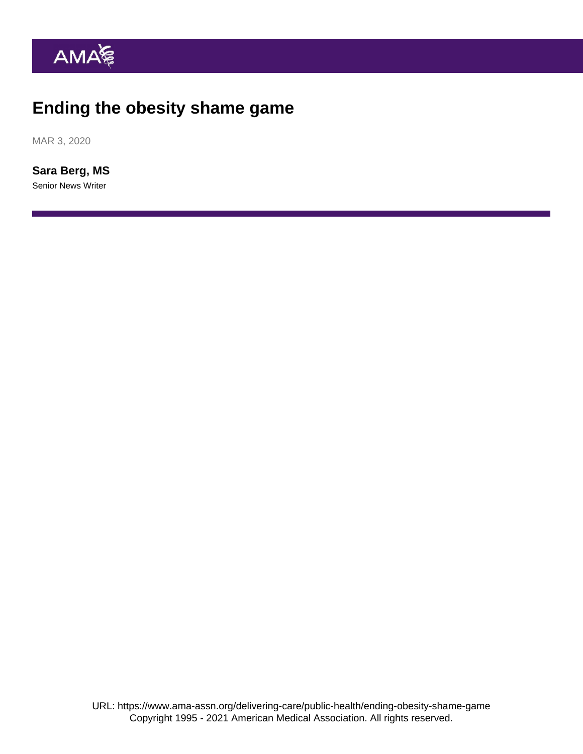## Ending the obesity shame game

MAR 3, 2020

[Sara Berg, MS](https://www.ama-assn.org/news-leadership-viewpoints/authors-news-leadership-viewpoints/sara-berg-ms) Senior News Writer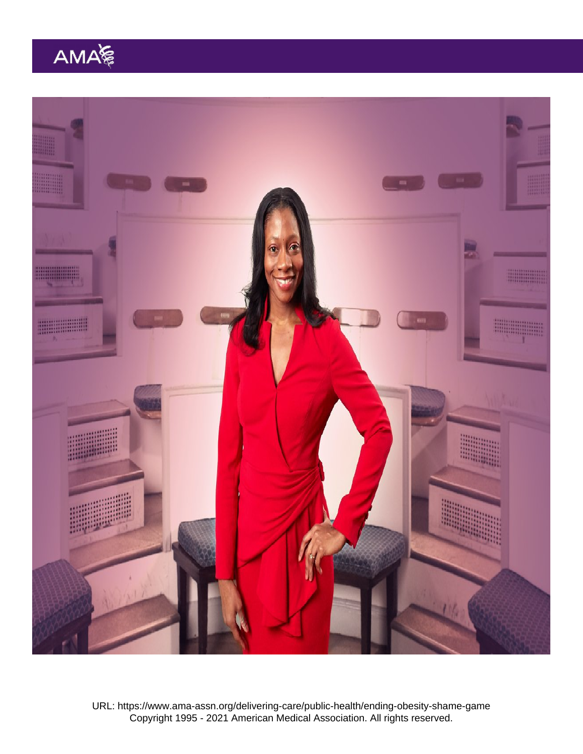URL: <https://www.ama-assn.org/delivering-care/public-health/ending-obesity-shame-game> Copyright 1995 - 2021 American Medical Association. All rights reserved.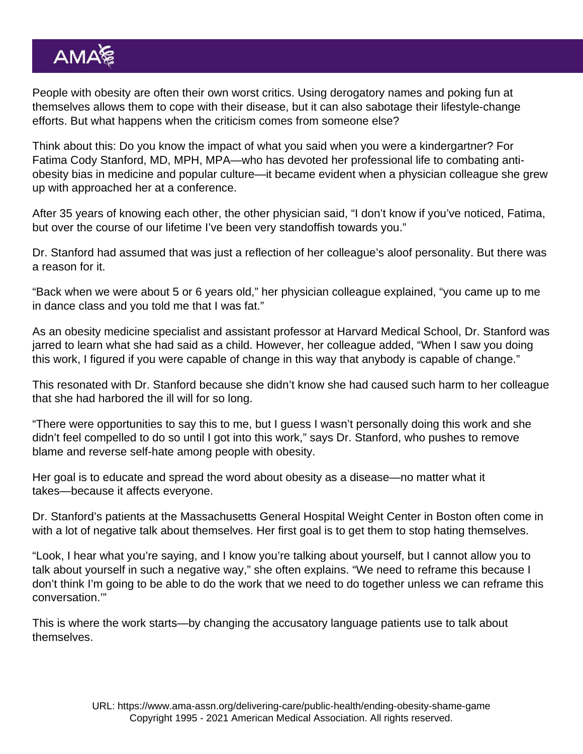People with obesity are often their own worst critics. Using derogatory names and poking fun at themselves allows them to cope with their disease, but it can also sabotage their lifestyle-change efforts. But what happens when the criticism comes from someone else?

Think about this: Do you know the impact of what you said when you were a kindergartner? For Fatima Cody Stanford, MD, MPH, MPA—who has devoted her professional life to combating antiobesity bias in medicine and popular culture—it became evident when a physician colleague she grew up with approached her at a conference.

After 35 years of knowing each other, the other physician said, "I don't know if you've noticed, Fatima, but over the course of our lifetime I've been very standoffish towards you."

Dr. Stanford had assumed that was just a reflection of her colleague's aloof personality. But there was a reason for it.

"Back when we were about 5 or 6 years old," her physician colleague explained, "you came up to me in dance class and you told me that I was fat."

As an obesity medicine specialist and assistant professor at Harvard Medical School, Dr. Stanford was jarred to learn what she had said as a child. However, her colleague added, "When I saw you doing this work, I figured if you were capable of change in this way that anybody is capable of change."

This resonated with Dr. Stanford because she didn't know she had caused such harm to her colleague that she had harbored the ill will for so long.

"There were opportunities to say this to me, but I guess I wasn't personally doing this work and she didn't feel compelled to do so until I got into this work," says Dr. Stanford, who pushes to remove blame and reverse self-hate among people with obesity.

Her goal is to educate and spread the word about obesity as a disease—no matter what it takes—because it affects everyone.

Dr. Stanford's patients at the Massachusetts General Hospital Weight Center in Boston often come in with a lot of negative talk about themselves. Her first goal is to get them to stop hating themselves.

"Look, I hear what you're saying, and I know you're talking about yourself, but I cannot allow you to talk about yourself in such a negative way," she often explains. "We need to reframe this because I don't think I'm going to be able to do the work that we need to do together unless we can reframe this conversation.'"

This is where the work starts—by changing the accusatory language patients use to talk about themselves.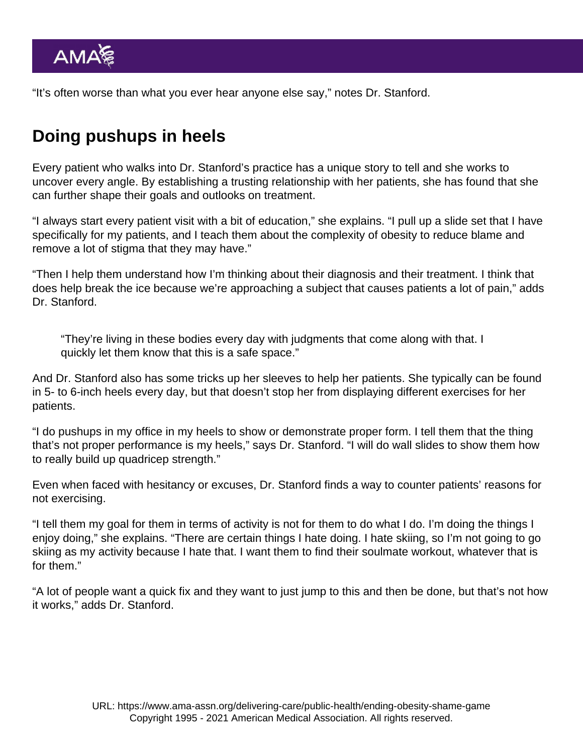"It's often worse than what you ever hear anyone else say," notes Dr. Stanford.

# Doing pushups in heels

Every patient who walks into Dr. Stanford's practice has a unique story to tell and she works to uncover every angle. By establishing a trusting relationship with her patients, she has found that she can further shape their goals and outlooks on treatment.

"I always start every patient visit with a bit of education," she explains. "I pull up a slide set that I have specifically for my patients, and I teach them about the complexity of obesity to reduce blame and remove a lot of stigma that they may have."

"Then I help them understand how I'm thinking about their diagnosis and their treatment. I think that does help break the ice because we're approaching a subject that causes patients a lot of pain," adds Dr. Stanford.

"They're living in these bodies every day with judgments that come along with that. I quickly let them know that this is a safe space."

And Dr. Stanford also has some tricks up her sleeves to help her patients. She typically can be found in 5- to 6-inch heels every day, but that doesn't stop her from displaying different exercises for her patients.

"I do pushups in my office in my heels to show or demonstrate proper form. I tell them that the thing that's not proper performance is my heels," says Dr. Stanford. "I will do wall slides to show them how to really build up quadricep strength."

Even when faced with hesitancy or excuses, Dr. Stanford finds a way to counter patients' reasons for not exercising.

"I tell them my goal for them in terms of activity is not for them to do what I do. I'm doing the things I enjoy doing," she explains. "There are certain things I hate doing. I hate skiing, so I'm not going to go skiing as my activity because I hate that. I want them to find their soulmate workout, whatever that is for them."

"A lot of people want a quick fix and they want to just jump to this and then be done, but that's not how it works," adds Dr. Stanford.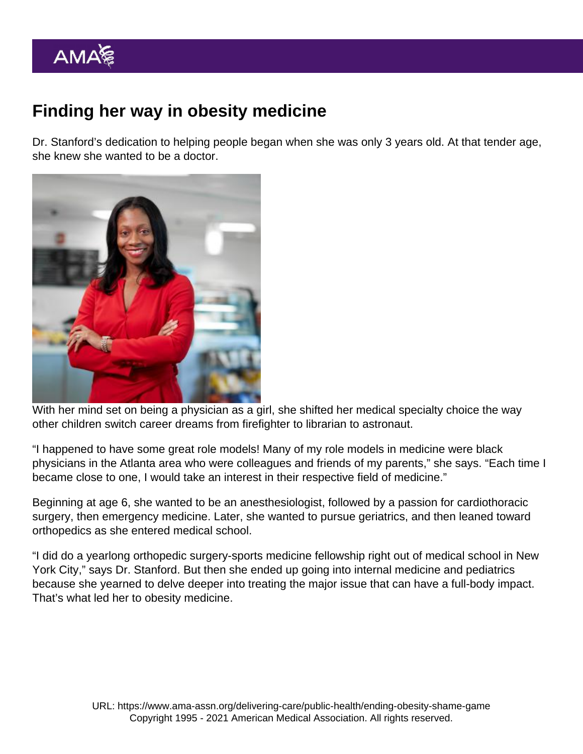## Finding her way in obesity medicine

Dr. Stanford's dedication to helping people began when she was only 3 years old. At that tender age, she knew she wanted to be a doctor.

With her mind set on being a physician as a girl, she shifted her medical specialty choice the way other children switch career dreams from firefighter to librarian to astronaut.

"I happened to have some great role models! Many of my role models in medicine were black physicians in the Atlanta area who were colleagues and friends of my parents," she says. "Each time I became close to one, I would take an interest in their respective field of medicine."

Beginning at age 6, she wanted to be an anesthesiologist, followed by a passion for cardiothoracic surgery, then emergency medicine. Later, she wanted to pursue geriatrics, and then leaned toward orthopedics as she entered medical school.

"I did do a yearlong orthopedic surgery-sports medicine fellowship right out of medical school in New York City," says Dr. Stanford. But then she ended up going into internal medicine and pediatrics because she yearned to delve deeper into treating the major issue that can have a full-body impact. That's what led her to obesity medicine.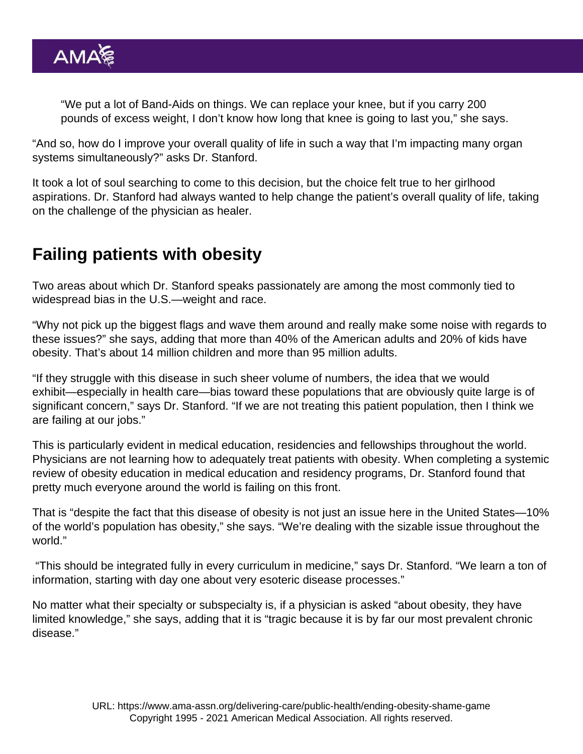"We put a lot of Band-Aids on things. We can replace your knee, but if you carry 200 pounds of excess weight, I don't know how long that knee is going to last you," she says.

"And so, how do I improve your overall quality of life in such a way that I'm impacting many organ systems simultaneously?" asks Dr. Stanford.

It took a lot of soul searching to come to this decision, but the choice felt true to her girlhood aspirations. Dr. Stanford had always wanted to help change the patient's overall quality of life, taking on the challenge of the physician as healer.

### Failing patients with obesity

Two areas about which Dr. Stanford speaks passionately are among the most commonly tied to widespread bias in the U.S.—weight and race.

"Why not pick up the biggest flags and wave them around and really make some noise with regards to these issues?" she says, adding that more than 40% of the American adults and 20% of kids have obesity. That's about 14 million children and more than 95 million adults.

"If they struggle with this disease in such sheer volume of numbers, the idea that we would exhibit—especially in health care—bias toward these populations that are obviously quite large is of significant concern," says Dr. Stanford. "If we are not treating this patient population, then I think we are failing at our jobs."

This is particularly evident in medical education, residencies and fellowships throughout the world. Physicians are not learning how to adequately treat patients with obesity. When completing a systemic review of obesity education in medical education and residency programs, Dr. Stanford found that pretty much everyone around the world is failing on this front.

That is "despite the fact that this disease of obesity is not just an issue here in the United States—10% of the world's population has obesity," she says. "We're dealing with the sizable issue throughout the world."

 "This should be integrated fully in every curriculum in medicine," says Dr. Stanford. "We learn a ton of information, starting with day one about very esoteric disease processes."

No matter what their specialty or subspecialty is, if a physician is asked "about obesity, they have limited knowledge," she says, adding that it is "tragic because it is by far our most prevalent chronic disease."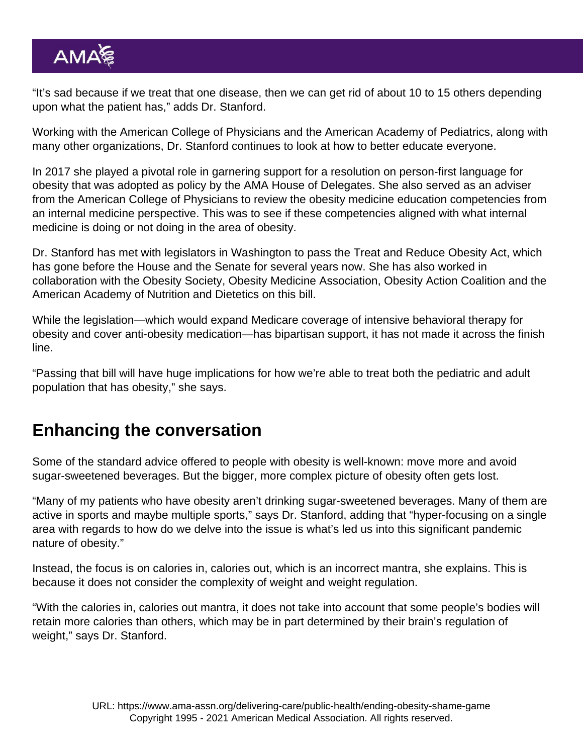"It's sad because if we treat that one disease, then we can get rid of about 10 to 15 others depending upon what the patient has," adds Dr. Stanford.

Working with the American College of Physicians and the American Academy of Pediatrics, along with many other organizations, Dr. Stanford continues to look at how to better educate everyone.

In 2017 she played a pivotal role in garnering support for a resolution on [person-first language for](https://policysearch.ama-assn.org/policyfinder/detail/Person-First Language for Obesity H-440.821?uri=/AMADoc/HOD.xml-H-440.821.xml) [obesity](https://policysearch.ama-assn.org/policyfinder/detail/Person-First Language for Obesity H-440.821?uri=/AMADoc/HOD.xml-H-440.821.xml) that was adopted as policy by the AMA House of Delegates. She also served as an adviser from the American College of Physicians to review the obesity medicine education competencies from an internal medicine perspective. This was to see if these competencies aligned with what internal medicine is doing or not doing in the area of obesity.

Dr. Stanford has met with legislators in Washington to pass the [Treat and Reduce Obesity Act,](https://www.congress.gov/bill/116th-congress/senate-bill/595) which has gone before the House and the Senate for several years now. She has also worked in collaboration with the Obesity Society, Obesity Medicine Association, Obesity Action Coalition and the American Academy of Nutrition and Dietetics on this bill.

While the legislation—which would expand Medicare coverage of intensive behavioral therapy for obesity and cover anti-obesity medication—has bipartisan support, it has not made it across the finish line.

"Passing that bill will have huge implications for how we're able to treat both the pediatric and adult population that has obesity," she says.

### Enhancing the conversation

Some of the standard advice offered to people with obesity is well-known: move more and avoid sugar-sweetened beverages. But the bigger, more complex picture of obesity often gets lost.

"Many of my patients who have obesity aren't drinking sugar-sweetened beverages. Many of them are active in sports and maybe multiple sports," says Dr. Stanford, adding that "hyper-focusing on a single area with regards to how do we delve into the issue is what's led us into this significant pandemic nature of obesity."

Instead, the focus is on calories in, calories out, which is an incorrect mantra, she explains. This is because it does not consider the complexity of weight and weight regulation.

"With the calories in, calories out mantra, it does not take into account that some people's bodies will retain more calories than others, which may be in part determined by their brain's regulation of weight," says Dr. Stanford.